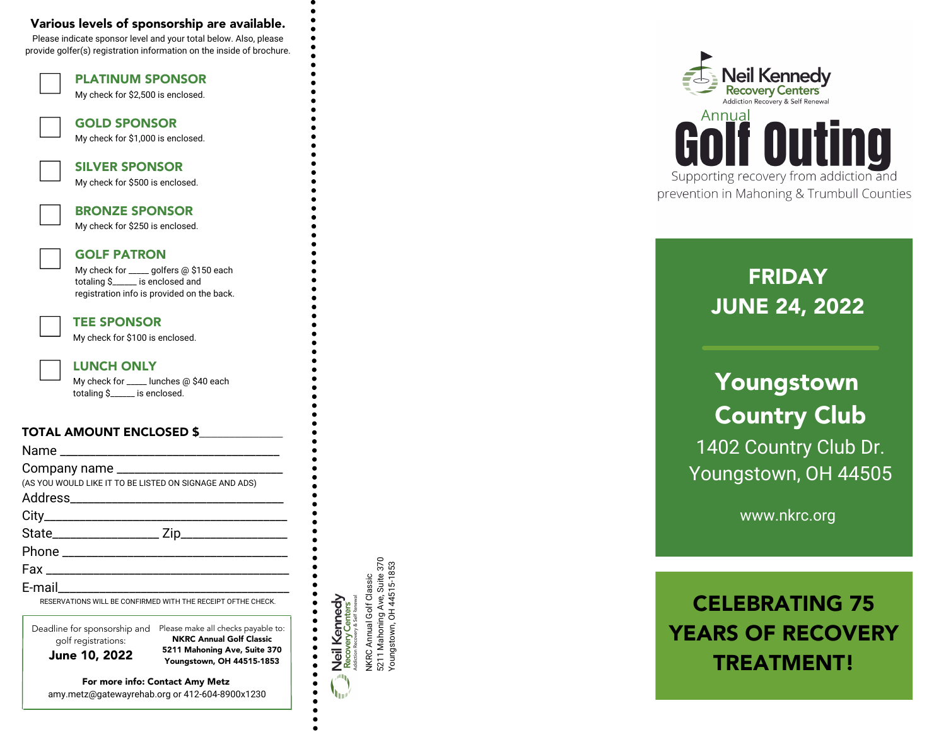### Various levels of sponsorship are available.

Please indicate sponsor level and your total below. Also, please provide golfer(s) registration information on the inside of brochure.

PLATINUM SPONSOR

TOTAL AMOUNT ENCLOSED \$\_\_\_\_\_\_\_\_\_\_\_\_\_\_ Name \_\_\_\_\_\_\_\_\_\_\_\_\_\_\_\_\_\_\_\_\_\_\_\_\_\_\_\_\_\_\_\_\_\_\_\_\_ Company name \_\_\_\_\_\_\_\_\_\_\_\_\_\_\_\_\_\_\_\_\_\_\_\_\_\_\_\_ (AS YOU WOULD LIKE IT TO BE LISTED ON SIGNAGE AND ADS) Address\_\_\_\_\_\_\_\_\_\_\_\_\_\_\_\_\_\_\_\_\_\_\_\_\_\_\_\_\_\_\_\_\_\_\_\_  $City$ State\_\_\_\_\_\_\_\_\_\_\_\_\_\_\_\_\_\_ Zip\_\_\_\_\_\_\_\_\_\_\_\_\_\_\_\_\_\_ Phone  $\blacksquare$  $Fax \sim 1$ E-mail\_\_\_\_\_\_\_\_\_\_\_\_\_\_\_\_\_\_\_\_\_\_\_\_\_\_\_\_\_\_\_\_\_\_\_\_\_\_\_ RESERVATIONS WILL BE CONFIRMED WITH THE RECEIPT OFTHE CHECK. My check for \$2,500 is enclosed. GOLD SPONSOR My check for \$1,000 is enclosed. SILVER SPONSOR My check for \$500 is enclosed. BRONZE SPONSOR My check for \$250 is enclosed. GOLF PATRON My check for \_\_\_\_\_ golfers @ \$150 each totaling \$ \_\_\_\_\_ is enclosed and registration info is provided on the back. TEE SPONSOR My check for \$100 is enclosed. LUNCH ONLY My check for \_\_\_\_\_ lunches @ \$40 each totaling \$\_\_\_\_\_\_ is enclosed.

Deadline for sponsorship and Please make all checks payable to:<br>
golf registrations: **NKRC Annual Golf Classic<br>
June 10, 2022** Please of the state 370<br>
Poungstown OH 44515-1853 golf registrations: NKRC Annual Golf Classic 5211 Mahoning Ave, Suite 370 Youngstown, OH 44515-1853

For more info: Contact Amy Metz amy.metz@gatewayrehab.org or 412-604-8900x1230

NKRC Annual Golf Classic<br>5211 Mahoning Ave, Suite 370<br>Youngstown, OH 44515-1853 NKRC Annual Golf Classic Neil Kennedy<br>Recovery Centers<br>Addition Recovery & Self Renewal

h.

 $\bullet$ 

 $\bullet$  $\bullet$  5211 Mahoning Ave, Suite 370 Youngstown, OH 44515-1853



# **FRIDAY** JUNE 24, 2022

## Youngstown Country Club 1402 Country Club Dr. Youngstown, OH 44505

www.nkrc.org

# CELEBRATING 75 YEARS OF RECOVERY TREATMENT!